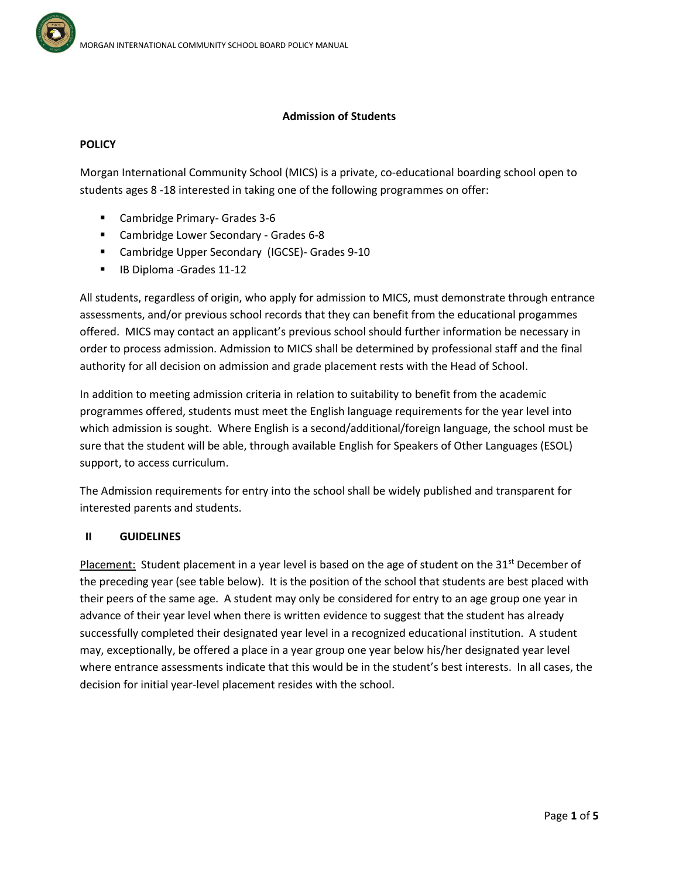### **Admission of Students**

### **POLICY**

Morgan International Community School (MICS) is a private, co-educational boarding school open to students ages 8 -18 interested in taking one of the following programmes on offer:

- Cambridge Primary- Grades 3-6
- **EXECOMMENT CAMBRIDGE COMM** Cambridge Lower Secondary Grades 6-8
- Cambridge Upper Secondary (IGCSE)- Grades 9-10
- **IB Diploma -Grades 11-12**

All students, regardless of origin, who apply for admission to MICS, must demonstrate through entrance assessments, and/or previous school records that they can benefit from the educational progammes offered. MICS may contact an applicant's previous school should further information be necessary in order to process admission. Admission to MICS shall be determined by professional staff and the final authority for all decision on admission and grade placement rests with the Head of School.

In addition to meeting admission criteria in relation to suitability to benefit from the academic programmes offered, students must meet the English language requirements for the year level into which admission is sought. Where English is a second/additional/foreign language, the school must be sure that the student will be able, through available English for Speakers of Other Languages (ESOL) support, to access curriculum.

The Admission requirements for entry into the school shall be widely published and transparent for interested parents and students.

### **II GUIDELINES**

Placement: Student placement in a year level is based on the age of student on the  $31<sup>st</sup>$  December of the preceding year (see table below). It is the position of the school that students are best placed with their peers of the same age. A student may only be considered for entry to an age group one year in advance of their year level when there is written evidence to suggest that the student has already successfully completed their designated year level in a recognized educational institution. A student may, exceptionally, be offered a place in a year group one year below his/her designated year level where entrance assessments indicate that this would be in the student's best interests. In all cases, the decision for initial year-level placement resides with the school.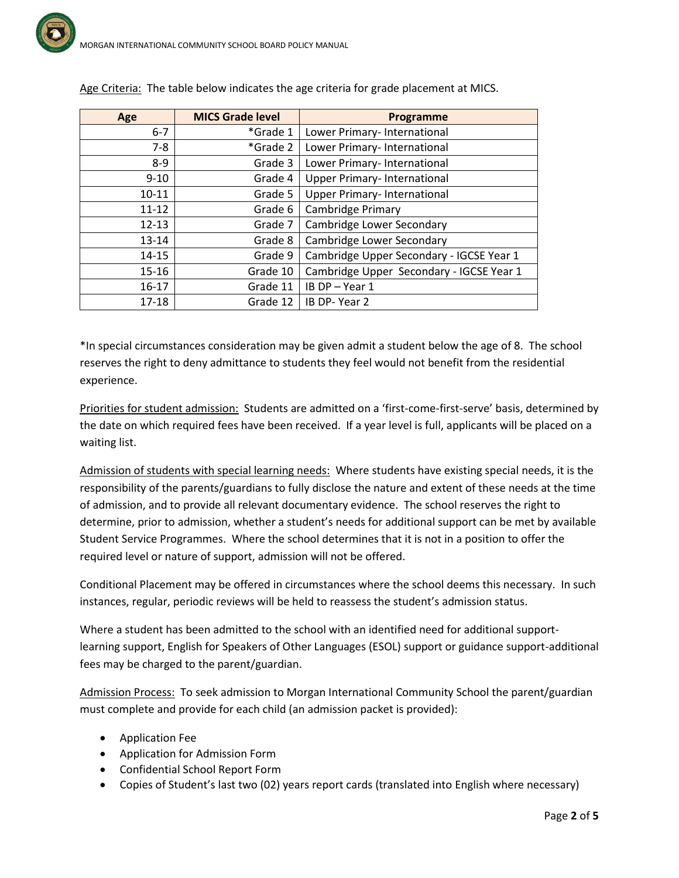| Age       | <b>MICS Grade level</b> | Programme                                |
|-----------|-------------------------|------------------------------------------|
| $6 - 7$   | *Grade 1                | Lower Primary- International             |
| $7-8$     | *Grade 2                | Lower Primary- International             |
| $8 - 9$   | Grade 3                 | Lower Primary- International             |
| $9 - 10$  | Grade 4                 | Upper Primary- International             |
| $10 - 11$ | Grade 5                 | Upper Primary- International             |
| $11 - 12$ | Grade 6                 | Cambridge Primary                        |
| $12 - 13$ | Grade 7                 | Cambridge Lower Secondary                |
| $13 - 14$ | Grade 8                 | Cambridge Lower Secondary                |
| $14 - 15$ | Grade 9                 | Cambridge Upper Secondary - IGCSE Year 1 |
| $15 - 16$ | Grade 10                | Cambridge Upper Secondary - IGCSE Year 1 |
| $16 - 17$ | Grade 11                | IB DP-Year 1                             |
| $17 - 18$ | Grade 12                | IB DP-Year 2                             |

Age Criteria: The table below indicates the age criteria for grade placement at MICS.

\*In special circumstances consideration may be given admit a student below the age of 8. The school reserves the right to deny admittance to students they feel would not benefit from the residential experience.

Priorities for student admission: Students are admitted on a 'first-come-first-serve' basis, determined by the date on which required fees have been received. If a year level is full, applicants will be placed on a waiting list.

Admission of students with special learning needs: Where students have existing special needs, it is the responsibility of the parents/guardians to fully disclose the nature and extent of these needs at the time of admission, and to provide all relevant documentary evidence. The school reserves the right to determine, prior to admission, whether a student's needs for additional support can be met by available Student Service Programmes. Where the school determines that it is not in a position to offer the required level or nature of support, admission will not be offered.

Conditional Placement may be offered in circumstances where the school deems this necessary. In such instances, regular, periodic reviews will be held to reassess the student's admission status.

Where a student has been admitted to the school with an identified need for additional supportlearning support, English for Speakers of Other Languages (ESOL) support or guidance support-additional fees may be charged to the parent/guardian.

Admission Process: To seek admission to Morgan International Community School the parent/guardian must complete and provide for each child (an admission packet is provided):

- Application Fee
- Application for Admission Form
- Confidential School Report Form
- Copies of Student's last two (02) years report cards (translated into English where necessary)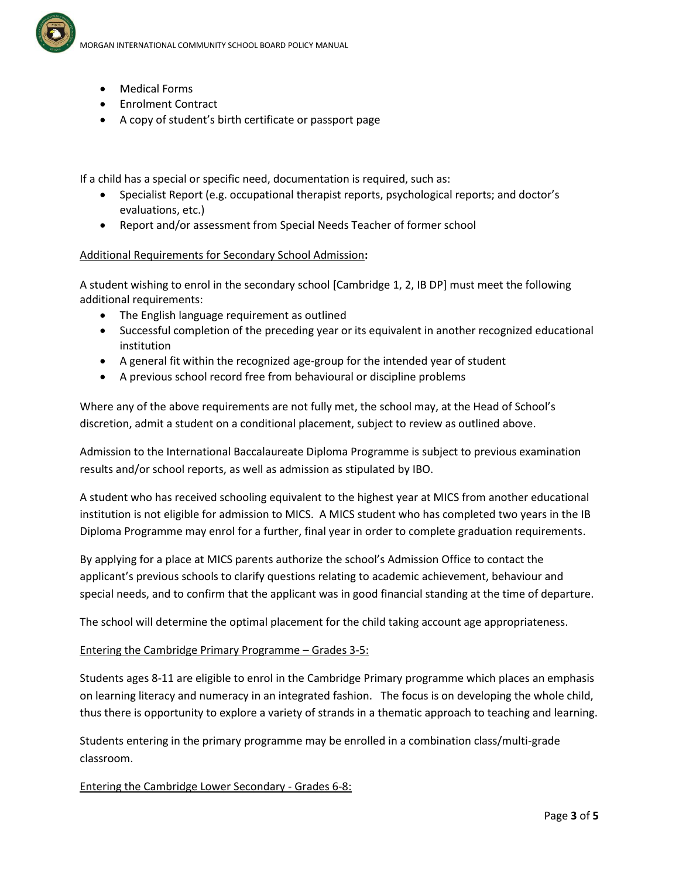

- Medical Forms
- Enrolment Contract
- A copy of student's birth certificate or passport page

If a child has a special or specific need, documentation is required, such as:

- Specialist Report (e.g. occupational therapist reports, psychological reports; and doctor's evaluations, etc.)
- Report and/or assessment from Special Needs Teacher of former school

#### Additional Requirements for Secondary School Admission**:**

A student wishing to enrol in the secondary school [Cambridge 1, 2, IB DP] must meet the following additional requirements:

- The English language requirement as outlined
- Successful completion of the preceding year or its equivalent in another recognized educational institution
- A general fit within the recognized age-group for the intended year of student
- A previous school record free from behavioural or discipline problems

Where any of the above requirements are not fully met, the school may, at the Head of School's discretion, admit a student on a conditional placement, subject to review as outlined above.

Admission to the International Baccalaureate Diploma Programme is subject to previous examination results and/or school reports, as well as admission as stipulated by IBO.

A student who has received schooling equivalent to the highest year at MICS from another educational institution is not eligible for admission to MICS. A MICS student who has completed two years in the IB Diploma Programme may enrol for a further, final year in order to complete graduation requirements.

By applying for a place at MICS parents authorize the school's Admission Office to contact the applicant's previous schools to clarify questions relating to academic achievement, behaviour and special needs, and to confirm that the applicant was in good financial standing at the time of departure.

The school will determine the optimal placement for the child taking account age appropriateness.

#### Entering the Cambridge Primary Programme – Grades 3-5:

Students ages 8-11 are eligible to enrol in the Cambridge Primary programme which places an emphasis on learning literacy and numeracy in an integrated fashion. The focus is on developing the whole child, thus there is opportunity to explore a variety of strands in a thematic approach to teaching and learning.

Students entering in the primary programme may be enrolled in a combination class/multi-grade classroom.

#### Entering the Cambridge Lower Secondary - Grades 6-8: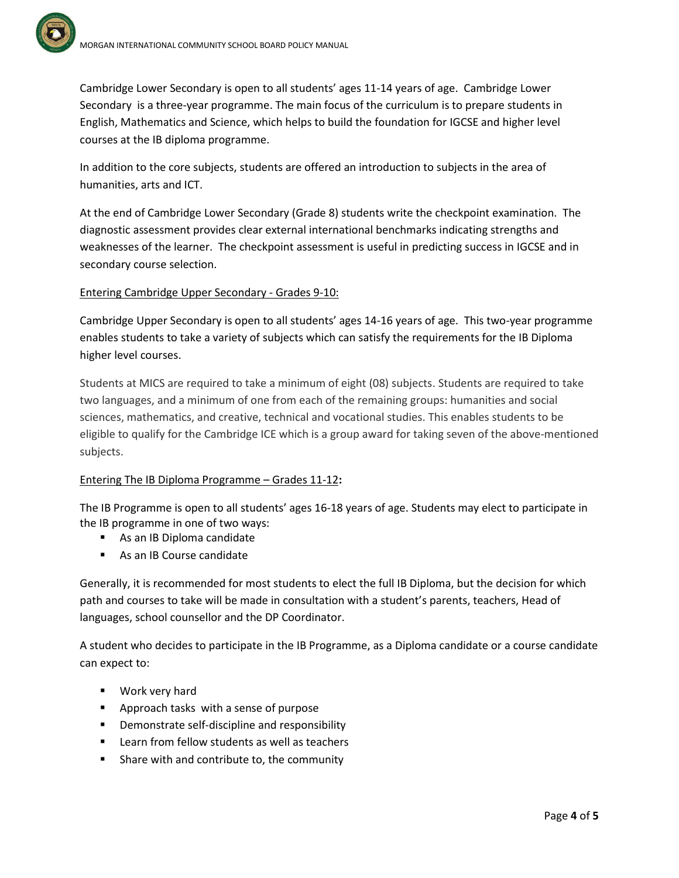Cambridge Lower Secondary is open to all students' ages 11-14 years of age. Cambridge Lower Secondary is a three-year programme. The main focus of the curriculum is to prepare students in English, Mathematics and Science, which helps to build the foundation for IGCSE and higher level courses at the IB diploma programme.

In addition to the core subjects, students are offered an introduction to subjects in the area of humanities, arts and ICT.

At the end of Cambridge Lower Secondary (Grade 8) students write the checkpoint examination. The diagnostic assessment provides clear external international benchmarks indicating strengths and weaknesses of the learner. The checkpoint assessment is useful in predicting success in IGCSE and in secondary course selection.

# Entering Cambridge Upper Secondary - Grades 9-10:

Cambridge Upper Secondary is open to all students' ages 14-16 years of age. This two-year programme enables students to take a variety of subjects which can satisfy the requirements for the IB Diploma higher level courses.

Students at MICS are required to take a minimum of eight (08) subjects. Students are required to take two languages, and a minimum of one from each of the remaining groups: humanities and social sciences, mathematics, and creative, technical and vocational studies. This enables students to be eligible to qualify for the Cambridge ICE which is a group award for taking seven of the above-mentioned subjects.

# Entering The IB Diploma Programme – Grades 11-12**:**

The IB Programme is open to all students' ages 16-18 years of age. Students may elect to participate in the IB programme in one of two ways:

- As an IB Diploma candidate
- As an IB Course candidate

Generally, it is recommended for most students to elect the full IB Diploma, but the decision for which path and courses to take will be made in consultation with a student's parents, teachers, Head of languages, school counsellor and the DP Coordinator.

A student who decides to participate in the IB Programme, as a Diploma candidate or a course candidate can expect to:

- **Work very hard**
- **Approach tasks with a sense of purpose**
- **•** Demonstrate self-discipline and responsibility
- **EXEC** Learn from fellow students as well as teachers
- **Share with and contribute to, the community**